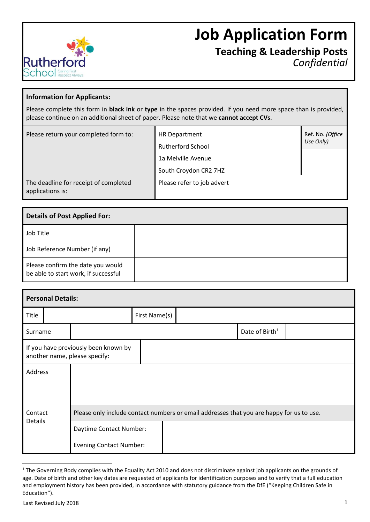

# **Job Application Form**

**Teaching & Leadership Posts** *Confidential*

### **Information for Applicants:**

Please complete this form in **black ink** or **type** in the spaces provided. If you need more space than is provided, please continue on an additional sheet of paper. Please note that we **cannot accept CVs**.

| Please return your completed form to:                     | HR Department<br><b>Rutherford School</b>   | Ref. No. (Office<br>Use Only) |
|-----------------------------------------------------------|---------------------------------------------|-------------------------------|
|                                                           | 1a Melville Avenue<br>South Croydon CR2 7HZ |                               |
| The deadline for receipt of completed<br>applications is: | Please refer to job advert                  |                               |

| <b>Details of Post Applied For:</b>                                       |  |  |  |  |
|---------------------------------------------------------------------------|--|--|--|--|
| Job Title                                                                 |  |  |  |  |
| Job Reference Number (if any)                                             |  |  |  |  |
| Please confirm the date you would<br>be able to start work, if successful |  |  |  |  |

|                                                                       | <b>Personal Details:</b> |                                                                                          |               |  |  |                            |  |
|-----------------------------------------------------------------------|--------------------------|------------------------------------------------------------------------------------------|---------------|--|--|----------------------------|--|
| Title                                                                 |                          |                                                                                          | First Name(s) |  |  |                            |  |
| Surname                                                               |                          |                                                                                          |               |  |  | Date of Birth <sup>1</sup> |  |
| If you have previously been known by<br>another name, please specify: |                          |                                                                                          |               |  |  |                            |  |
| Address                                                               |                          |                                                                                          |               |  |  |                            |  |
|                                                                       |                          |                                                                                          |               |  |  |                            |  |
| Contact<br>Details                                                    |                          | Please only include contact numbers or email addresses that you are happy for us to use. |               |  |  |                            |  |
|                                                                       |                          | Daytime Contact Number:                                                                  |               |  |  |                            |  |
|                                                                       |                          | <b>Evening Contact Number:</b>                                                           |               |  |  |                            |  |

-

<sup>&</sup>lt;sup>1</sup> The Governing Body complies with the Equality Act 2010 and does not discriminate against job applicants on the grounds of age. Date of birth and other key dates are requested of applicants for identification purposes and to verify that a full education and employment history has been provided, in accordance with statutory guidance from the DfE ("Keeping Children Safe in Education").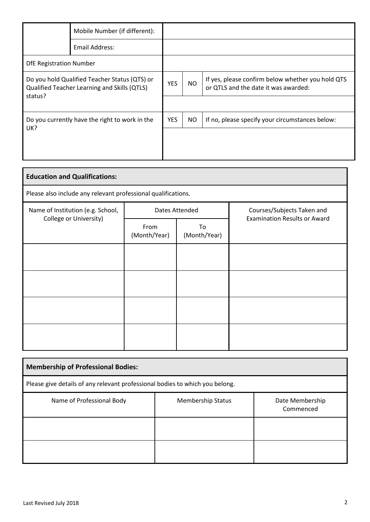|                                                                                                          | Mobile Number (if different): |            |           |                                                                                           |
|----------------------------------------------------------------------------------------------------------|-------------------------------|------------|-----------|-------------------------------------------------------------------------------------------|
|                                                                                                          | Email Address:                |            |           |                                                                                           |
| <b>DfE Registration Number</b>                                                                           |                               |            |           |                                                                                           |
| Do you hold Qualified Teacher Status (QTS) or<br>Qualified Teacher Learning and Skills (QTLS)<br>status? |                               | <b>YES</b> | NO.       | If yes, please confirm below whether you hold QTS<br>or QTLS and the date it was awarded: |
|                                                                                                          |                               |            |           |                                                                                           |
| Do you currently have the right to work in the                                                           |                               | <b>YES</b> | <b>NO</b> | If no, please specify your circumstances below:                                           |
| UK?                                                                                                      |                               |            |           |                                                                                           |
|                                                                                                          |                               |            |           |                                                                                           |

| <b>Education and Qualifications:</b>                        |                                                               |                    |                                                                   |  |  |  |  |  |  |
|-------------------------------------------------------------|---------------------------------------------------------------|--------------------|-------------------------------------------------------------------|--|--|--|--|--|--|
|                                                             | Please also include any relevant professional qualifications. |                    |                                                                   |  |  |  |  |  |  |
| Name of Institution (e.g. School,<br>College or University) |                                                               | Dates Attended     | Courses/Subjects Taken and<br><b>Examination Results or Award</b> |  |  |  |  |  |  |
|                                                             | From<br>(Month/Year)                                          | To<br>(Month/Year) |                                                                   |  |  |  |  |  |  |
|                                                             |                                                               |                    |                                                                   |  |  |  |  |  |  |
|                                                             |                                                               |                    |                                                                   |  |  |  |  |  |  |
|                                                             |                                                               |                    |                                                                   |  |  |  |  |  |  |
|                                                             |                                                               |                    |                                                                   |  |  |  |  |  |  |

| <b>Membership of Professional Bodies:</b>                                    |                          |                              |  |  |  |
|------------------------------------------------------------------------------|--------------------------|------------------------------|--|--|--|
| Please give details of any relevant professional bodies to which you belong. |                          |                              |  |  |  |
| Name of Professional Body                                                    | <b>Membership Status</b> | Date Membership<br>Commenced |  |  |  |
|                                                                              |                          |                              |  |  |  |
|                                                                              |                          |                              |  |  |  |

'n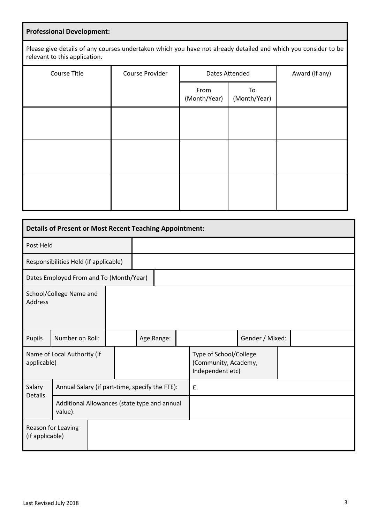# **Professional Development:**

Please give details of any courses undertaken which you have not already detailed and which you consider to be relevant to this application.

| Course Title | Course Provider | Dates Attended       |                    | Award (if any) |
|--------------|-----------------|----------------------|--------------------|----------------|
|              |                 | From<br>(Month/Year) | To<br>(Month/Year) |                |
|              |                 |                      |                    |                |
|              |                 |                      |                    |                |
|              |                 |                      |                    |                |
|              |                 |                      |                    |                |

| <b>Details of Present or Most Recent Teaching Appointment:</b>            |                                         |  |  |            |   |                                                                    |                 |  |
|---------------------------------------------------------------------------|-----------------------------------------|--|--|------------|---|--------------------------------------------------------------------|-----------------|--|
| Post Held                                                                 |                                         |  |  |            |   |                                                                    |                 |  |
| Responsibilities Held (if applicable)                                     |                                         |  |  |            |   |                                                                    |                 |  |
|                                                                           | Dates Employed From and To (Month/Year) |  |  |            |   |                                                                    |                 |  |
| School/College Name and<br><b>Address</b>                                 |                                         |  |  |            |   |                                                                    |                 |  |
| Pupils                                                                    | Number on Roll:                         |  |  | Age Range: |   |                                                                    | Gender / Mixed: |  |
| Name of Local Authority (if<br>applicable)                                |                                         |  |  |            |   | Type of School/College<br>(Community, Academy,<br>Independent etc) |                 |  |
| Salary<br>Annual Salary (if part-time, specify the FTE):                  |                                         |  |  |            | £ |                                                                    |                 |  |
| <b>Details</b><br>Additional Allowances (state type and annual<br>value): |                                         |  |  |            |   |                                                                    |                 |  |
| (if applicable)                                                           | Reason for Leaving                      |  |  |            |   |                                                                    |                 |  |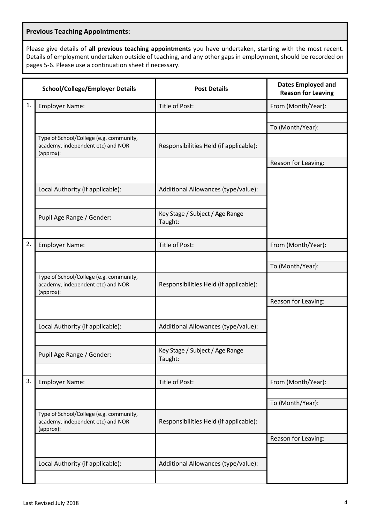#### **Previous Teaching Appointments:**

Please give details of **all previous teaching appointments** you have undertaken, starting with the most recent. Details of employment undertaken outside of teaching, and any other gaps in employment, should be recorded on pages 5-6. Please use a continuation sheet if necessary.

|    | <b>School/College/Employer Details</b>                                                    | <b>Post Details</b>                        | <b>Dates Employed and</b><br><b>Reason for Leaving</b> |
|----|-------------------------------------------------------------------------------------------|--------------------------------------------|--------------------------------------------------------|
| 1. | <b>Employer Name:</b>                                                                     | Title of Post:                             | From (Month/Year):                                     |
|    |                                                                                           |                                            |                                                        |
|    |                                                                                           |                                            | To (Month/Year):                                       |
|    | Type of School/College (e.g. community,<br>academy, independent etc) and NOR<br>(approx): | Responsibilities Held (if applicable):     |                                                        |
|    |                                                                                           |                                            | Reason for Leaving:                                    |
|    |                                                                                           |                                            |                                                        |
|    | Local Authority (if applicable):                                                          | Additional Allowances (type/value):        |                                                        |
|    | Pupil Age Range / Gender:                                                                 | Key Stage / Subject / Age Range<br>Taught: |                                                        |
| 2. | <b>Employer Name:</b>                                                                     | Title of Post:                             | From (Month/Year):                                     |
|    |                                                                                           |                                            |                                                        |
|    |                                                                                           |                                            | To (Month/Year):                                       |
|    | Type of School/College (e.g. community,<br>academy, independent etc) and NOR<br>(approx): | Responsibilities Held (if applicable):     |                                                        |
|    |                                                                                           |                                            | Reason for Leaving:                                    |
|    |                                                                                           |                                            |                                                        |
|    | Local Authority (if applicable):                                                          | Additional Allowances (type/value):        |                                                        |
|    |                                                                                           |                                            |                                                        |
|    | Pupil Age Range / Gender:                                                                 | Key Stage / Subject / Age Range<br>Taught: |                                                        |
|    |                                                                                           |                                            |                                                        |
| 3. | <b>Employer Name:</b>                                                                     | Title of Post:                             | From (Month/Year):                                     |
|    |                                                                                           |                                            |                                                        |
|    |                                                                                           |                                            | To (Month/Year):                                       |
|    | Type of School/College (e.g. community,<br>academy, independent etc) and NOR<br>(approx): | Responsibilities Held (if applicable):     |                                                        |
|    |                                                                                           |                                            | Reason for Leaving:                                    |
|    |                                                                                           |                                            |                                                        |
|    | Local Authority (if applicable):                                                          | Additional Allowances (type/value):        |                                                        |
|    |                                                                                           |                                            |                                                        |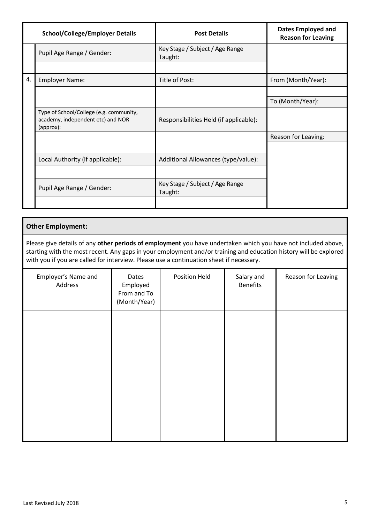|    | <b>School/College/Employer Details</b>                                                    | <b>Post Details</b>                        | <b>Dates Employed and</b><br><b>Reason for Leaving</b> |
|----|-------------------------------------------------------------------------------------------|--------------------------------------------|--------------------------------------------------------|
|    | Pupil Age Range / Gender:                                                                 | Key Stage / Subject / Age Range<br>Taught: |                                                        |
|    |                                                                                           |                                            |                                                        |
| 4. | <b>Employer Name:</b>                                                                     | Title of Post:                             | From (Month/Year):                                     |
|    |                                                                                           |                                            |                                                        |
|    |                                                                                           |                                            | To (Month/Year):                                       |
|    | Type of School/College (e.g. community,<br>academy, independent etc) and NOR<br>(approx): | Responsibilities Held (if applicable):     |                                                        |
|    |                                                                                           |                                            | Reason for Leaving:                                    |
|    |                                                                                           |                                            |                                                        |
|    | Local Authority (if applicable):                                                          | Additional Allowances (type/value):        |                                                        |
|    |                                                                                           |                                            |                                                        |
|    | Pupil Age Range / Gender:                                                                 | Key Stage / Subject / Age Range<br>Taught: |                                                        |
|    |                                                                                           |                                            |                                                        |

#### **Other Employment:**

Please give details of any **other periods of employment** you have undertaken which you have not included above, starting with the most recent. Any gaps in your employment and/or training and education history will be explored with you if you are called for interview. Please use a continuation sheet if necessary.

| Employer's Name and<br>Address | Dates<br>Employed<br>From and To<br>(Month/Year) | Position Held | Salary and<br><b>Benefits</b> | Reason for Leaving |
|--------------------------------|--------------------------------------------------|---------------|-------------------------------|--------------------|
|                                |                                                  |               |                               |                    |
|                                |                                                  |               |                               |                    |
|                                |                                                  |               |                               |                    |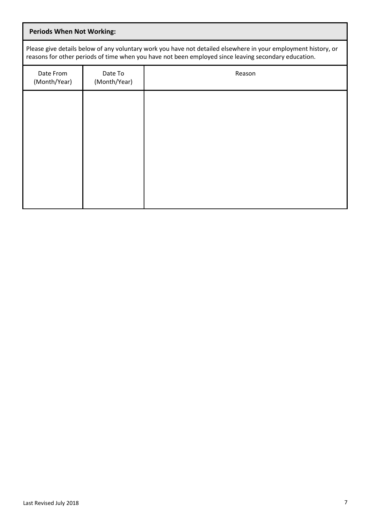# **Periods When Not Working:**

Please give details below of any voluntary work you have not detailed elsewhere in your employment history, or reasons for other periods of time when you have not been employed since leaving secondary education.

| Date From<br>(Month/Year) | Date To<br>(Month/Year) | Reason |
|---------------------------|-------------------------|--------|
|                           |                         |        |
|                           |                         |        |
|                           |                         |        |
|                           |                         |        |
|                           |                         |        |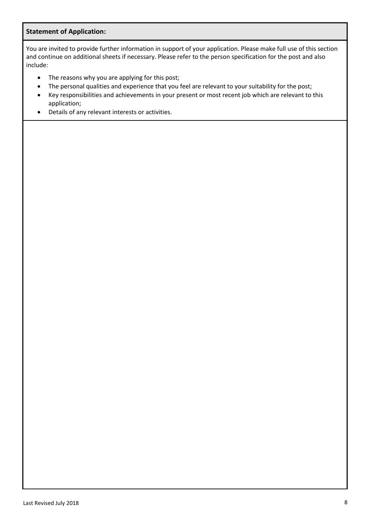#### **Statement of Application:**

You are invited to provide further information in support of your application. Please make full use of this section and continue on additional sheets if necessary. Please refer to the person specification for the post and also include:

- The reasons why you are applying for this post;
- The personal qualities and experience that you feel are relevant to your suitability for the post;
- Key responsibilities and achievements in your present or most recent job which are relevant to this application;
- Details of any relevant interests or activities.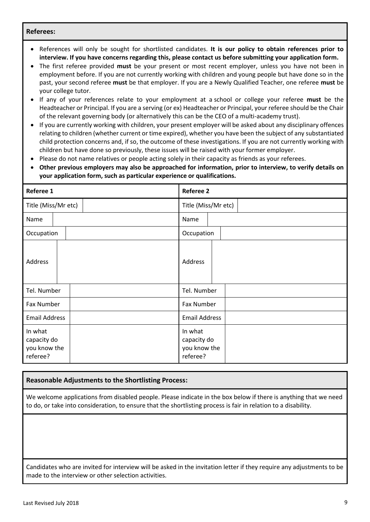#### **Referees:**

- References will only be sought for shortlisted candidates. **It is our policy to obtain references prior to interview. If you have concerns regarding this, please contact us before submitting your application form.**
- The first referee provided **must** be your present or most recent employer, unless you have not been in employment before. If you are not currently working with children and young people but have done so in the past, your second referee **must** be that employer. If you are a Newly Qualified Teacher, one referee **must** be your college tutor.
- If any of your references relate to your employment at a school or college your referee **must** be the Headteacher or Principal. If you are a serving (or ex) Headteacher or Principal, your referee should be the Chair of the relevant governing body (or alternatively this can be the CEO of a multi-academy trust).
- If you are currently working with children, your present employer will be asked about any disciplinary offences relating to children (whether current or time expired), whether you have been the subject of any substantiated child protection concerns and, if so, the outcome of these investigations. If you are not currently working with children but have done so previously, these issues will be raised with your former employer.
- Please do not name relatives or people acting solely in their capacity as friends as your referees.
- **Other previous employers may also be approached for information, prior to interview, to verify details on your application form, such as particular experience or qualifications.**

| Referee 1                                          | <b>Referee 2</b>                                   |  |  |
|----------------------------------------------------|----------------------------------------------------|--|--|
| Title (Miss/Mr etc)                                | Title (Miss/Mr etc)                                |  |  |
| Name                                               | Name                                               |  |  |
| Occupation                                         | Occupation                                         |  |  |
| Address                                            | Address                                            |  |  |
| Tel. Number                                        | Tel. Number                                        |  |  |
| Fax Number                                         | Fax Number                                         |  |  |
| <b>Email Address</b>                               | <b>Email Address</b>                               |  |  |
| In what<br>capacity do<br>you know the<br>referee? | In what<br>capacity do<br>you know the<br>referee? |  |  |

#### **Reasonable Adjustments to the Shortlisting Process:**

We welcome applications from disabled people. Please indicate in the box below if there is anything that we need to do, or take into consideration, to ensure that the shortlisting process is fair in relation to a disability.

Candidates who are invited for interview will be asked in the invitation letter if they require any adjustments to be made to the interview or other selection activities.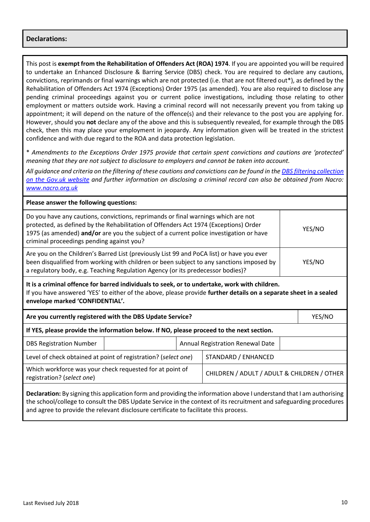#### **Declarations:**

This post is **exempt from the Rehabilitation of Offenders Act (ROA) 1974**. If you are appointed you will be required to undertake an Enhanced Disclosure & Barring Service (DBS) check. You are required to declare any cautions, convictions, reprimands or final warnings which are not protected (i.e. that are not filtered out\*), as defined by the Rehabilitation of Offenders Act 1974 (Exceptions) Order 1975 (as amended). You are also required to disclose any pending criminal proceedings against you or current police investigations, including those relating to other employment or matters outside work. Having a criminal record will not necessarily prevent you from taking up appointment; it will depend on the nature of the offence(s) and their relevance to the post you are applying for. However, should you **not** declare any of the above and this is subsequently revealed, for example through the DBS check, then this may place your employment in jeopardy. Any information given will be treated in the strictest confidence and with due regard to the ROA and data protection legislation.

\* *Amendments to the Exceptions Order 1975 provide that certain spent convictions and cautions are 'protected' meaning that they are not subject to disclosure to employers and cannot be taken into account.*

*All guidance and criteria on the filtering of these cautions and convictions can be found in th[e DBS filtering collection](https://www.gov.uk/government/collections/dbs-filtering-guidance)  [on the Gov.uk website](https://www.gov.uk/government/collections/dbs-filtering-guidance) and further information on disclosing a criminal record can also be obtained from Nacro: [www.nacro.org.uk](http://www.nacro.org.uk/)*

| Please answer the following questions:                                                                                                                                                                                                                                                                           |  |                                  |                                             |  |        |
|------------------------------------------------------------------------------------------------------------------------------------------------------------------------------------------------------------------------------------------------------------------------------------------------------------------|--|----------------------------------|---------------------------------------------|--|--------|
| Do you have any cautions, convictions, reprimands or final warnings which are not<br>protected, as defined by the Rehabilitation of Offenders Act 1974 (Exceptions) Order<br>1975 (as amended) and/or are you the subject of a current police investigation or have<br>criminal proceedings pending against you? |  |                                  |                                             |  | YES/NO |
| Are you on the Children's Barred List (previously List 99 and PoCA list) or have you ever<br>been disqualified from working with children or been subject to any sanctions imposed by<br>YES/NO<br>a regulatory body, e.g. Teaching Regulation Agency (or its predecessor bodies)?                               |  |                                  |                                             |  |        |
| It is a criminal offence for barred individuals to seek, or to undertake, work with children.<br>If you have answered 'YES' to either of the above, please provide further details on a separate sheet in a sealed<br>envelope marked 'CONFIDENTIAL'.                                                            |  |                                  |                                             |  |        |
| Are you currently registered with the DBS Update Service?                                                                                                                                                                                                                                                        |  |                                  |                                             |  | YES/NO |
| If YES, please provide the information below. If NO, please proceed to the next section.                                                                                                                                                                                                                         |  |                                  |                                             |  |        |
| <b>DBS Registration Number</b>                                                                                                                                                                                                                                                                                   |  | Annual Registration Renewal Date |                                             |  |        |
| Level of check obtained at point of registration? (select one)                                                                                                                                                                                                                                                   |  | STANDARD / ENHANCED              |                                             |  |        |
| Which workforce was your check requested for at point of<br>registration? (select one)                                                                                                                                                                                                                           |  |                                  | CHILDREN / ADULT / ADULT & CHILDREN / OTHER |  |        |
| <b>Declaration:</b> Ducigning this anglication form and providing the information above Lunderstand that Lam outhorizing                                                                                                                                                                                         |  |                                  |                                             |  |        |

**Declaration:** By signing this application form and providing the information above I understand that I am authorising the school/college to consult the DBS Update Service in the context of its recruitment and safeguarding procedures and agree to provide the relevant disclosure certificate to facilitate this process.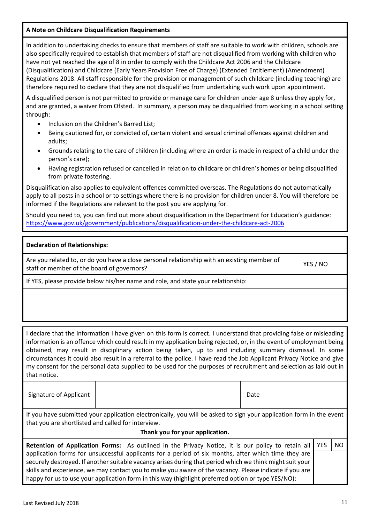## **A Note on Childcare Disqualification Requirements**

In addition to undertaking checks to ensure that members of staff are suitable to work with children, schools are also specifically required to establish that members of staff are not disqualified from working with children who have not yet reached the age of 8 in order to comply with the Childcare Act 2006 and the Childcare (Disqualification) and Childcare (Early Years Provision Free of Charge) (Extended Entitlement) (Amendment) Regulations 2018. All staff responsible for the provision or management of such childcare (including teaching) are therefore required to declare that they are not disqualified from undertaking such work upon appointment.

A disqualified person is not permitted to provide or manage care for children under age 8 unless they apply for, and are granted, a waiver from Ofsted. In summary, a person may be disqualified from working in a school setting through:

- Inclusion on the Children's Barred List;
- Being cautioned for, or convicted of, certain violent and sexual criminal offences against children and adults;
- Grounds relating to the care of children (including where an order is made in respect of a child under the person's care);
- Having registration refused or cancelled in relation to childcare or children's homes or being disqualified from private fostering.

Disqualification also applies to equivalent offences committed overseas. The Regulations do not automatically apply to all posts in a school or to settings where there is no provision for children under 8. You will therefore be informed if the Regulations are relevant to the post you are applying for.

Should you need to, you can find out more about disqualification in the Department for Education's guidance: <https://www.gov.uk/government/publications/disqualification-under-the-childcare-act-2006>

#### **Declaration of Relationships:**

Are you related to, or do you have a close personal relationship with an existing member of staff or member of the board of governors?

If YES, please provide below his/her name and role, and state your relationship:

| I declare that the information I have given on this form is correct. I understand that providing false or misleading  |
|-----------------------------------------------------------------------------------------------------------------------|
| information is an offence which could result in my application being rejected, or, in the event of employment being   |
| obtained, may result in disciplinary action being taken, up to and including summary dismissal. In some               |
| circumstances it could also result in a referral to the police. I have read the Job Applicant Privacy Notice and give |
| my consent for the personal data supplied to be used for the purposes of recruitment and selection as laid out in     |
| that notice.                                                                                                          |

If you have submitted your application electronically, you will be asked to sign your application form in the event that you are shortlisted and called for interview.

#### **Thank you for your application.**

| Retention of Application Forms: As outlined in the Privacy Notice, it is our policy to retain all   YES   NO |  |
|--------------------------------------------------------------------------------------------------------------|--|
| application forms for unsuccessful applicants for a period of six months, after which time they are          |  |
| securely destroyed. If another suitable vacancy arises during that period which we think might suit your     |  |
| skills and experience, we may contact you to make you aware of the vacancy. Please indicate if you are       |  |
| happy for us to use your application form in this way (highlight preferred option or type YES/NO):           |  |